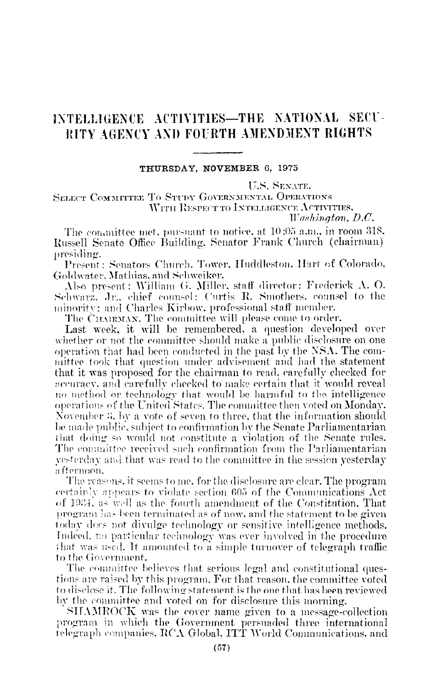## INTELLIGENCE ACTIVITIES-THE NATIONAL SECU-RITY AGENCY AND FOURTH AMENDMENT RIGHTS

## THURSDAY, NOVEMBER 6, 1975

**ILS. SEXATE.** 

**SELECT COMMITTEE TO STUDY GOVERNMENTAL OPERATIONS** WITH RESPECT TO INTELLIGENCE ACTIVITIES, Washington,  $D.C.$ 

The committee met, pursuant to notice, at 10:05 a.m., in room 318, Russell Senate Office Building, Senator Frank Church (chairman) presiding.

Present : Senators Church, Tower, Huddleston, Hart of Colorado. Goldwater, Mathias, and Schweiker.

Also present: William G. Miller, staff director: Frederick A. O. Schwarz, Jr., chief counsel: Curtis R. Smothers, counsel to the minority; and Charles Kirbow, professional staff member.

The CHAIRMAN. The committee will please come to order.

Last week, it will be remembered, a question developed over whether or not the committee should make a public disclosure on one operation that had been conducted in the past by the NSA. The committee took that question under advisement and had the statement that it was proposed for the chairman to read, carefully checked for accuracy, and earefully checked to make certain that it would reveal no method or technology that would be harmful to the intelligence operations of the United States. The committee then voted on Monday. November 3, by a vote of seven to three, that the information should be made public, subject to confirmation by the Senate Parliamentarian that doing so would not constitute a violation of the Senate rules. The committee received such confirmation from the Parliamentarian vesterday and that was read to the committee in the session yesterday afternoon.

The reasons, it seems to me, for the disclosure are clear. The program certainly appears to violate section 605 of the Communications Act of 1934, as well as the fourth amendment of the Constitution. That program has been terminated as of now, and the statement to be given today does not divulge technology or sensitive intelligence methods. Indeed, no particular technology was ever involved in the procedure that was used. It amounted to a simple turnover of telegraph traffic to the Government.

The committee believes that serious legal and constitutional questions are raised by this program. For that reason, the committee voted to disclose it. The following statement is the one that has been reviewed by the committee and voted on for disclosure this morning.

SHAMROCK was the cover name given to a message-collection program in which the Government persuaded three international telegraph companies, RCA Global, ITT World Communications, and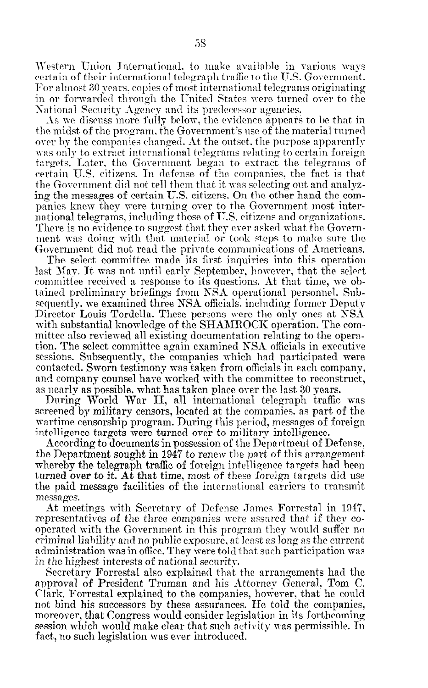Western Union International. to make available in various ways certain of their international telegraph traffic to the U.S. Government. For almost SO years. copies of most international telegrams originating in or forwarded through the United States were turned over to the National Security Agency and its predecessor agencies.

As we discuss more fully below, the evidence appears to be that in the midst of the program, the Government's use of the material turned over by the companies changed. At the outset, the purpose apparently was onlv to extract international telegrams relating to certain foreign targets.' Later, the Government begun to extract the telegrams of certain 1T.S. citizens. In defense of the companies. the fact is that, the Government did not tell them that it was selecting out and analyzing the messages of certain U.S. citizens. On the other hand the companies knew they vere turning over to the Government most international telegrams, including those of 1J.S. citizens and organizations. There is no evidence to suggest that they ever asked what the Government was doing with that material or took steps to make sure the Government did not read the private communications of Americans.

The select committee made its first inquiries into this operation last May. It was not until early September, however, that the select committee received a response to its questions. At that time, we obtained preliminary briefings from SSA operational personnel. Subsequently, we examined three NSA officials, including former Deputy Director Louis Tordella. These persons were the only ones at NSA with substantial knowledge of the SHAMROCK operation. The committee also reviewed all existing documentation relating to the operation. The select committee again examined NSA officials in executive sessions. Subsequently, the companies which had participated were contacted. Sworn testimony was taken from officials in each company, and company counsel have worked with the committee to reconstruct, as nearly as possible. what has taken place over the last 30 years.

During World War II, all international telegraph trafic was screened by military censors, located at the companies, as part of the wartime cy mintary tensors, it and the companies, as part of form. watering censorship program. During this period, messages o intelligence targets were turned over to military intelligence.<br>According to documents in possession of the Department of Defense,

 $\frac{1}{2}$   $\frac{1}{2}$   $\frac{1}{2}$  to  $\frac{1}{2}$  to  $\frac{1}{2}$  to  $\frac{1}{2}$  to  $\frac{1}{2}$  to  $\frac{1}{2}$  to  $\frac{1}{2}$  to  $\frac{1}{2}$  to  $\frac{1}{2}$  to  $\frac{1}{2}$  to  $\frac{1}{2}$  to  $\frac{1}{2}$  to  $\frac{1}{2}$  to  $\frac{1}{2}$  to  $\frac{1}{2}$  to  $\frac{1}{$ where the telegraph traffic of tenew the part of this arrangement whereby the telegraph traffic of foreign intelligence targets had been turned over to it. At that time, most of these foreign targets did use the paid message facilities of the international carriers to transmit messages.  $\frac{4t}{100}$  meets n-it11 Secretary of Defense .Jnmes Forrestal in 1947,  $\frac{4}{100}$ 

**Rt** meetings with Secretary of Defense James Forrestal in 1946 representatives of the three companies were assured that if they cooperated with the Government in this program they would suffer no criminal liability and no public exposure, at least as long as the current administration was in office. They were told that such participation was in the highest interests of national security.

Secretary Forrestal also explained that the arrangements had the approval of President Truman and his Attorney General. Tom C. Clark. Forrestal explained to the companies, however, that he could not bind his successors by these assurances. He told the companies, moreover, that Congress would consider legislation in its forthcoming. session which would make clear that such activity was permissible. In fact, no such legislation was ever introduced.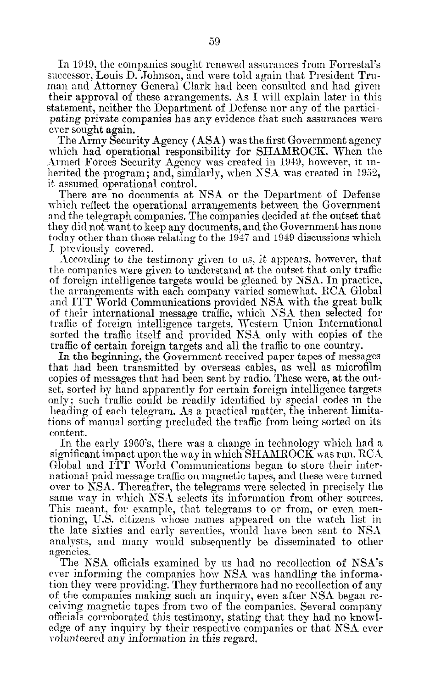In 1949, the companies sought renewed assurances from Forrestal's successor, Louis D. Johnson, and were told again that President Truman and Attorney General Clark had been consulted and had given their approval of these arrangements. As I will explain later in this statement, neither the Department of Defense nor any of the participating private companies has any evidence that such assurances were ever sought again.

The Army Security Agency (ASA) was the first Government agency which had operational responsibility for SHAMROCK. When the Armed Forces Security Agency was created in 1949, however, it inherited the program; and, similarly, when NSA was created in 1952, it assumed operational control.

There are no documents at NSA or the Department of Defense xhich reflect the operational arrangements between the Government and the telegraph companies. The companies decided at the outset that they did not want to keep any documents, and the Government has none today other than those relating to the 1947 and 1949 discussions which I previously covered.

According to the testimony given to us, it appears, however, that the companies were given to understand at the outset that only traffic of foreign intelligence targets mould be gleaned by MA. In practice, the arrangements with each company varied somewhat. RCA Global and ITT World Communications provided NSA with the great bulk of their international message traffic, which NSA then selected for traffic of foreign intelligence targets. Western Union International sorted the traffic itself and provided NSA only with copies of the traffic of certain foreign targets and all the traffic to one country.

In the beginning, the Government received paper tapes of messages that had been transmitted by overseas cables, as well as microfilm copies of messages that had been sent by radio. These were, at the out- $\frac{1}{2}$ set, sorted by hand apparently for certain foreign intelligence targets  $\sigma_{\rm c}$  is the readily indicate readily in the readily identified by special codes in the heading of each telescope  $\Lambda$  as a practical matter, the inherent limit tions of manual sorted the t.r.  $\frac{1}{2}$  of  $\frac{1}{2}$  flux from being sorted on its tions of manual sorting precluded the traffic from being sorted on its content. In the early logon logon in the early logon in technology variables in technology variables in technology variables in the early state in the early state in the early state in the early state in the early state in the earl

 $\frac{1}{10}$  in the early 1900 s, there was a change in technology which had significant impact upon the way in which SHAMROCK was run. RCA Global and ITT World Communications began to store their international paid message traffic on magnetic tapes, and these were turned over to NSA. Thereafter, the telegrams were selected in precisely the same way in which  $NS\Lambda$  selects its information from other sources. This meant, for example, that telegrams to or from, or even mentioning, U.S. citizens whose names appeared on the watch list in the late sixties and early seventies, would have been sent to  $NSA$ analysts, and many would subsequently be disseminated to other agencies. The KM of the KM of the KM of The KM of NSA's the NSA's party of NSA's party of NSA's party of NSA's party of NSA's party of NSA's party of NSA's party of NSA's party of NSA's party of NSA's party of NSA's party of NSA's p

The NSA ometats examined by us had no recollection of  $NSE$ ever informing the companies how NSA was handling the information they were providing. They furthermore had no recollection of any of the companies making such an inquiry, even after NSA began receiving magnetic tapes from two of the companies. Several company officials corroborated this testimony, stating that they had no knowledge of any inquiry by their respective companies or that NSA ever volunteered any information in this regard.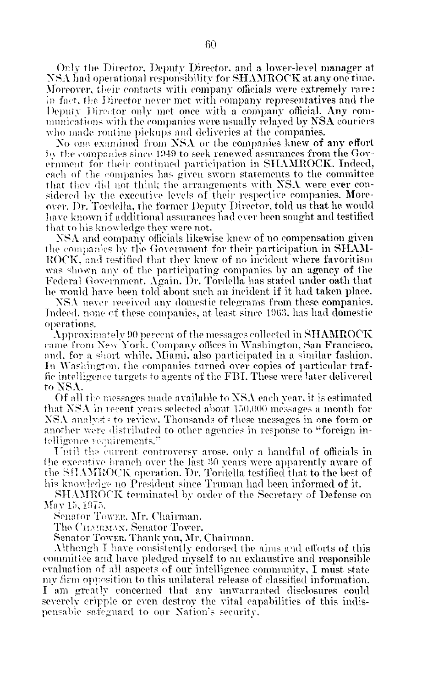Only the Director, Deputy Director, and a lower-level manager at NSA had operational responsibility for SHAMROCK at any one time. Moreover, their contacts with company officials were extremely rare: in fact, the Director never met with company representatives and the Deputy Director only met once with a company official. Any communications with the companies were usually relayed by NSA couriers who made routine pickups and deliveries at the companies.

No one examined from NSA or the companies knew of any effort by the companies since 1949 to seek renewed assurances from the Government for their continued participation in SHAMROCK. Indeed, each of the companies has given sworn statements to the committee that they did not think the arrangements with NSA were ever considered by the executive levels of their respective companies. Moreover, Dr. Tordella, the former Deputy Director, told us that he would have known if additional assurances had ever been sought and testified that to his knowledge they were not.

NSA and company officials likewise knew of no compensation given the companies by the Government for their participation in SHAM-ROCK, and testified that they knew of no incident where favoritism was shown any of the participating companies by an agency of the Federal Government. Again. Dr. Tordella has stated under oath that he would have been told about such an incident if it had taken place.

NSA never received any domestic telegrams from these companies. Indeed, none of these companies, at least since 1963, has had domestic operations.

 $\Lambda$ pproximately 90 percent of the messages collected in SHAMROCK came from New York. Company offices in Washington, San Francisco, and, for a short while. Miami, also participated in a similar fashion. In Washington, the companies turned over copies of particular traffic intelligence targets to agents of the FBI. These were later delivered to NSA.

Of all the messages made available to NSA each vear, it is estimated that NSA in recent years selected about 150,000 messages a month for NSA analysts to review. Thousands of these messages in one form or another were distributed to other agencies in response to "foreign intelligence requirements."

Until the current controversy arose, only a handful of officials in the executive branch over the last 30 years were apparently aware of the SHAMROCK operation. Dr. Tordella testified that to the best of his knowledge no President since Truman had been informed of it.

SHAMROCK terminated by order of the Secretary of Defense on May 15, 1975.

Senator Tower, Mr. Chairman.

The CHAIRMAN. Senator Tower.

Senator Tower. Thank you, Mr. Chairman.

Although I have consistently endorsed the aims and efforts of this committee and have pledged myself to an exhaustive and responsible evaluation of all aspects of our intelligence community, I must state my firm opposition to this unilateral release of classified information. I am greatly concerned that any unwarranted disclosures could severely cripple or even destroy the vital capabilities of this indispensable safeguard to our Nation's security.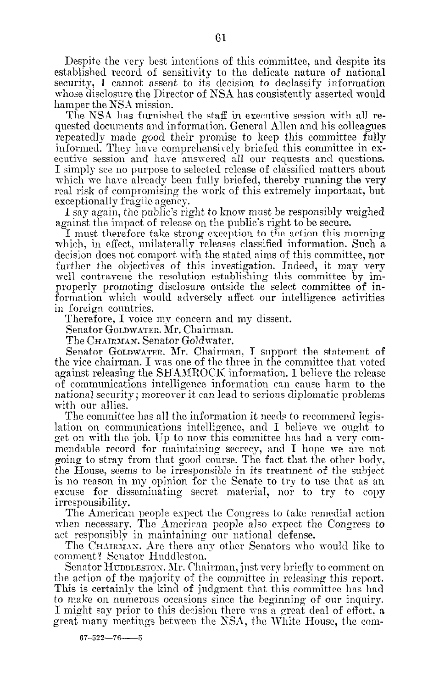Despite the very best intentions of this committee, and despite its established record of sensitivity to the delicate nature of national security, I cannot assent to its decision to declassify information whose disclosure the Director of NSA has consistently asserted would hamper the NSA mission.

The NSA has furnished the staff in executive session with all requested documents and information. General Allen and his colleagues repeatedly made good their promise to keep this committee fully informed. They have comprchensirely briefed this committee in executive session and hare answered all our requests and questions. I simply see no purpose to selected release of classified matters about which we have already been fully briefed, thereby running the very real risk of compromising the work of this extremely important, but exceptionally fragile agency.

I say again, the public's right to know must be responsibly weighed against the impact of release on the public's right to be secure.

I must therefore take strong exception to the action this morning which, in effect, unilaterally releases classified information. Such a decision does not comport, with the stated aims of this committee, nor further the objectives of this investigation. Indeed, it may very well contravene the resolution establishing this committee by improperly promoting disclosure outside the select committee of information which would adversely affect our intelligence activities in foreign countries.

Therefore, I voice my concern and my dissent.

Senator GOLDWATER. Mr. Chairman.

The Chairman. Senator Goldwater.

Senator GOLDWATER. Mr. Chairman, I support the statement of the vice chairman. I was one of the three in the committee that voted against releasing the SHAMROCK information. I believe the release of communications intelligence information can cause harm to the national security; moreor-er it can lead to serious diplomatic problems national security; moreover it can lead to serious diplomatic problems<br>with our allies.

The committee has all the information it needs to recommend legis-Lation on communications intelligence, and I believe the condition lation on communications intelligence, and I believe we ought to get on with the job. Up to now this committee has had a very commendable record for maintaining secrecy, and I hope we are not going to stray from that good course. The fact that the other body, the House, seems to be irresponsible in its treatment of the subject is no reason in my opinion for the Senate to try to use that as an excuse for disseminating secret material, nor to try to copy<br>irresponsibility. The American people experience the Congress to take remedial action of the Congress to take remedial action of

The American people expect the Congress to take remedial action when necessary. The American people also expect the Congress to act responsibly in maintaining our national defense.  $\tau$  responsibly in maintaining our national defense.

The CHAIRMAN. Are there an comment? Senator Huddleston.

Senator HUDDLESTON. Mr. Chairman, just very briefly to comment on the action of the majority of the committee in releasing this report. This is certainly the kind of judgment that this committee has had to make on numerous occasions since the beginning of our inquiry. I might say prior to this decision there was a great deal of effort, a great many meetings between the NSA, the White House, the com-

 $67 - 522 - 76 - 5$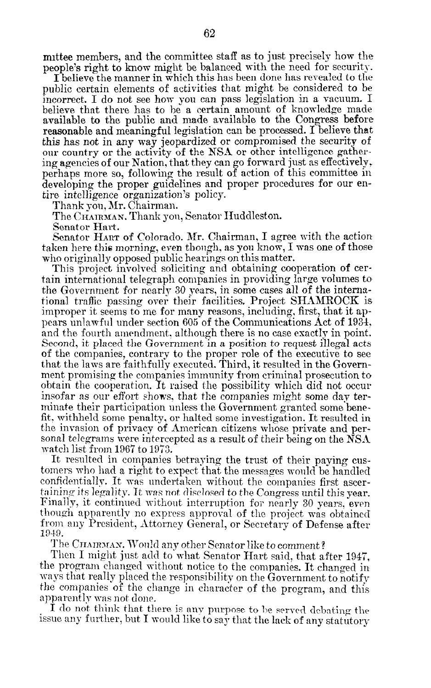mittee members, and the committee staff as to just precisely how the people's right to know might be balanced with the need for security.

I believe the manner in which this has been done has rerealed to the public certain elements of activities that might be considered to be incorrect. I do not see how you can pass legislation in a vacuum. I believe that there has to he a certain amount of knowledge made available to the public and made available to the Congress before reasonable and meaningful legislation can be processed. I believe that this has not in any way jeopardized or compromised the security of our country or the activity of the NSA or other intelligence gathering agencies of our Nation, that they can go forward just as effectively, perhaps more so, following the result of action of this committee in developing the proper guidelines and proper procedures for our entire intelligence organization?s policy.

Thank you, Mr. Chairman.

The CHAIRMAN. Thank you, Senator Huddleston.

Senator Hart.

Senator HART of Colorado. Mr. Chairman, 1 agree with the action taken here this morning, even though, as you know, I was one of those who originally opposed public hearings on this matter.

This project involved soliciting and obtaining cooperation of certain international telegraph companies in providing large volumes to the Government for nearly 30 years, in some cases all of the international traffic passing over their facilities, Project SHAMROCK is improper it seems to me for many reasons, including: first, that it appears unlawful under section 605 of the Communications Act of 1934, and the fourth amendment. although there is no case esactlv in point. Second, it placed the Government in a position to request illegal acts of the companies, contrary to the proper role of the executive to see that the laws are faithfully executed. Third, it resulted in the Government promising the companies immunity from criminal prosecution to obtain the cooperation. It raised the possibility which did not occur insofar as our effort shows, that the companies might some day terminate their participation unless the Government granted some benefit, withheld some penalty, or halted some investigation. It resulted in the invasion of privacy of American citizens whose private and personal telegrams were intercepted as a result of their being on the NSA watch list from 1967 to 1973.

It resulted in companies betraying the trust of their paying customers who had a right to expect that the messages would be handled confidentially. It was undertaken without the companies first ascertaining its legality. It was not disclosed to the Congress until this year. Finally, it continued without interruption for nearly 30 years, even though apparently no express approval of the project was obtained from any President, Attorney General, or Secretary of Defense after 1919.

The CHAIRMAN. Would any other Senator like to comment?

Then 1 might just add to what Senator Hart said, that after 1947, the program changed without notice to the companies. It changed in ways that really placed the responsibility on the Government to notify the companies of the change in character of the program, and this apparently was not donr.

I do not think that there is any purpose to be served debating the issue any further, but I would like to say that the lack of any statutory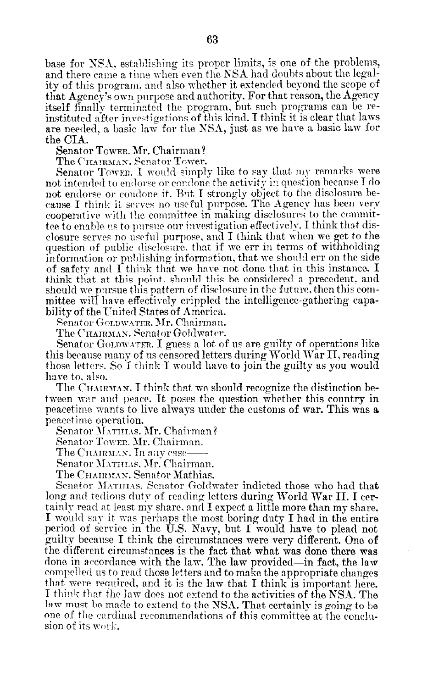base for NSA, establishing its proper limits, is one of the problems, and there came a time when even the NSA had doubts about the legality of this program, and also whether it extended beyond the scope of that Agency's own purpose and authority. For that reason, the Agency itself finally terminated the program, but such programs can be reinstituted after investigations of this kind. I think it is clear that laws are needed, a basic law for the NSA, just as we have a basic law for the CIA.

Senator Tower, Mr. Chairman?

The CHAIRMAN. Senator Tower.

Senator Tower. I would simply like to say that my remarks were not intended to endorse or condone the activity in question because I do not endorse or condone it. But I strongly object to the disclosure because I think it serves no useful purpose. The Agency has been very cooperative with the committee in making disclosures to the committee to enable us to pursue our investigation effectively. I think that disclosure serves no useful purpose, and I think that when we get to the question of public disclosure, that if we err in terms of withholding information or publishing information, that we should err on the side of safety and  $\Gamma$  think that we have not done that in this instance. I think that at this point, should this be considered a precedent, and should we pursue this pattern of disclosure in the future, then this committee will have effectively crippled the intelligence-gathering capability of the United States of America.

Senator GOLDWATER. Mr. Chairman.

The Chamman. Senator Goldwater.

Senator GOLDWATER. I guess a lot of us are guilty of operations like this because many of us censored letters during World War II, reading those letters. So I think I would have to join the guilty as you would have to, also.

The CHAIRMAN. I think that we should recognize the distinction between war and peace. It poses the question whether this country in peacetime wants to live always under the customs of war. This was a peacetime operation.

Senator MATHIAS. Mr. Chairman?

Senator Tower, Mr. Chairman.

The CHAIRMAN. In anv case–

Senator MATHLAS, Mr. Chairman.

The CHAIRMAN. Senator Mathias.

Senator MATHIAS. Senator Goldwater indicted those who had that long and tedious duty of reading letters during World War II. I certainly read at least my share, and I expect a little more than my share. I would say it was perhaps the most boring duty I had in the entire period of service in the U.S. Navy, but I would have to plead not guilty because I think the circumstances were very different. One of the different circumstances is the fact that what was done there was done in accordance with the law. The law provided—in fact, the law compelled us to read those letters and to make the appropriate changes that were required, and it is the law that I think is important here. I think that the law does not extend to the activities of the NSA. The law must be made to extend to the NSA. That certainly is going to be one of the cardinal recommendations of this committee at the conclusion of its work.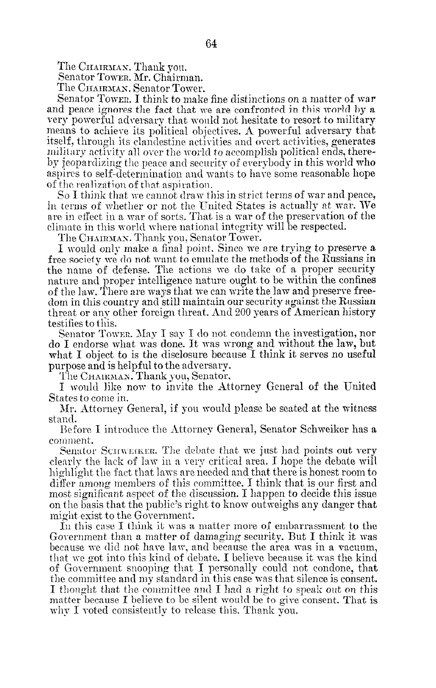The CHAIRMAN. Thank you.

Senator Tower. Mr. Chairman.

The Chairman. Senator Tower.

Senator Towen. I think to make fine distinctions on a matter of war and peace ignores the fact that we are confronted in this world by a very powerful adversary that would not hesitate to resort to military means to achiere its political objectives. A powerful adversary that itself, through its clandestine activities and overt activities, generates military activity all over the world to accomplish political ends, thereby jeopardizing the peace and security of everybody in this world who aspires to self-determination and wants to have some reasonable hope of the realization of that aspiration.

So I think that we cannot draw this in strict terms of war and peace, in terms of whether or not the United States is actually at war. We are in effect in a war of sorts. That is a war of the preservation of the climate in this world where national integrity will be respected

The CHAIRMAN. Thank you, Senator Tower.

I would only make a final point. Since we are trying to preserve a free society we do not want to emulate the methods of the Russians in the name of defense. The actions we do take of a proper security nature and proper intelligence nature ought to be within the confines of the law. There are ways that we can write the law and preserre freedom in this country and still maintain our security against the Russian threat or any other foreign threat. And 200 years of American history testifies to this.

 $S_{\text{ev}}$  for  $T_{\text{cav}}$   $\alpha$   $\alpha$   $\beta$  and  $\beta$  and condemn the investigation, nor  $\frac{1}{2}$  endorse what was done. It was wrong and without the law, but what I object to is the disclosure because I think it serves no useful purpose and is helpful to the adversary.

The CHAIRMAN. Thank you, Senator.

I would like now to invite the Attorney General of the United States to come in.

Xr. Attorney General, if you would please be seated at the witness stand. Hefore I introduce the Attorney General, Senator Schweiker has a

CoIlmlent. comment.<br>Senator SCITWEIKER. The debate that we just had points out very

clearly the lack of law in a very critical area. I hope the debate mill  $\frac{1}{4}$  the fact of the fit a very character those energy room to the interhighlight the fact that laws are needed and that there is honest room to<br>differ among members of this committee. I think that is our first and most anong members of the discussion. I happen to decide this issue.  $\frac{1}{2}$  and  $\frac{1}{2}$  right to the public right to decide  $\frac{1}{2}$  rights and  $\frac{1}{2}$ on the basis that the public's right to know outweighs any danger that might exist to the Government.

In this case I think it was a matter more of embarrassment to the  $\alpha$  in this case I think it was a matter more of embatrassment to the because n-c than a matter of damaging security. But I think it was because we did not have law, and because the area was in a vacuum, that we got into this kind of debate. I believe because it was the kind of Government snooping that I personally could not condone, that the committee and my standard in this case was that silence is consent. I thought that the committee and I had a right to speak out on this matter because I believe to be silent would be to give consent. That is why I voted consistently to release this. Thank you.